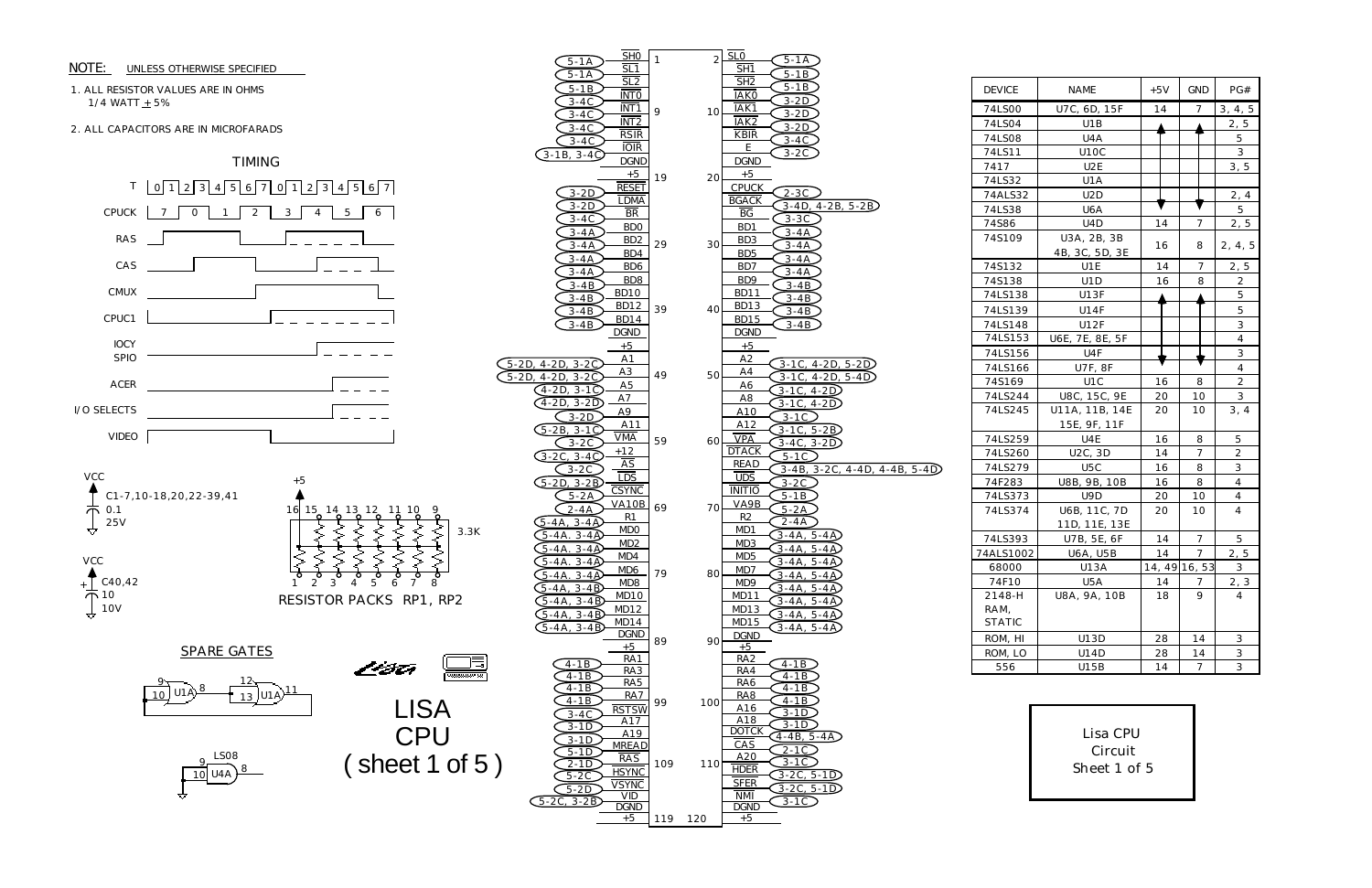## 1. ALL RESISTOR VALUES ARE IN OHMS 1/4 WATT  $\pm$  5%

## NOTE: UNLESS OTHERWISE SPECIFIED



2. ALL CAPACITORS ARE IN MICROFARADS



| <b>DEVICE</b> | <b>NAME</b>      | $+5V$ | GND            | PG#                                           |
|---------------|------------------|-------|----------------|-----------------------------------------------|
| 74LS00        | U7C, 6D, 15F     | 14    | 7              | 3, 4, 5                                       |
| 74LS04        | U1B              |       |                | 2, 5                                          |
| 74LS08        | U4A              |       |                | 5                                             |
| 74LS11        | U1OC             |       |                | $\overline{3}$                                |
| 7417          | U <sub>2</sub> E |       |                | 3, 5                                          |
| 74LS32        | U1A              |       |                |                                               |
| 74ALS32       | U <sub>2</sub> D |       |                | 2, 4                                          |
| 74LS38        | U6A              |       |                | 5                                             |
| 74S86         | U <sub>4</sub> D | 14    | $\overline{7}$ | 2, 5                                          |
| 74S109        | U3A, 2B, 3B      |       |                |                                               |
|               | 4B, 3C, 5D, 3E   | 16    | 8              | 2, 4, 5                                       |
| 74S132        | U1E              | 14    | 7              | 2, 5                                          |
| 74S138        | U <sub>1</sub> D | 16    | 8              | 2                                             |
| 74LS138       | U13F             |       |                | 5                                             |
| 74LS139       | U14F             |       |                | 5                                             |
| 74LS148       | <b>U12F</b>      |       |                | 3                                             |
| 74LS153       | U6E, 7E, 8E, 5F  |       |                | 4                                             |
| 74LS156       | U <sub>4F</sub>  |       |                | 3                                             |
| 74LS166       | <b>U7F, 8F</b>   |       |                | 4                                             |
| 74S169        | U <sub>1</sub> C | 16    | 8              | $\overline{c}$                                |
| 74LS244       | U8C, 15C, 9E     | 20    | 10             | 3                                             |
| 74LS245       | U11A, 11B, 14E   | 20    | 10             | 3, 4                                          |
|               | 15E, 9F, 11F     |       |                |                                               |
| 74LS259       | U4E              | 16    | 8              | 5                                             |
| 74LS260       | U2C, 3D          | 14    | $\overline{7}$ | $\overline{2}$                                |
| 74LS279       | U5C              | 16    | 8              | 3                                             |
| 74F283        | U8B, 9B, 10B     | 16    | 8              | 4                                             |
| 74LS373       | U9D              | 20    | 10             | 4                                             |
| 74LS374       | U6B, 11C, 7D     | 20    | 10             | 4                                             |
|               | 11D, 11E, 13E    |       |                |                                               |
| 74LS393       | U7B, 5E, 6F      | 14    | 7              | 5                                             |
| 74ALS1002     | <b>U6A, U5B</b>  | 14    | $\overline{7}$ | 2, 5                                          |
| 68000         | U13A             |       | 14, 49 16, 53  | 3                                             |
| 74F10         | U5A              | 14    | $\overline{ }$ | $\overline{2}$ ,<br>$\ensuremath{\mathsf{3}}$ |
| 2148-H        | U8A, 9A, 10B     | 18    | 9              | 4                                             |
| RAM,          |                  |       |                |                                               |
| <b>STATIC</b> |                  |       |                |                                               |
| ROM, HI       | U13D             | 28    | 14             | 3                                             |
| ROM, LO       | U14D             | 28    | 14             | 3                                             |
| 556           | U15B             | 14    | 7              | $\overline{3}$                                |

> Lisa CPU Circuit Sheet 1 of 5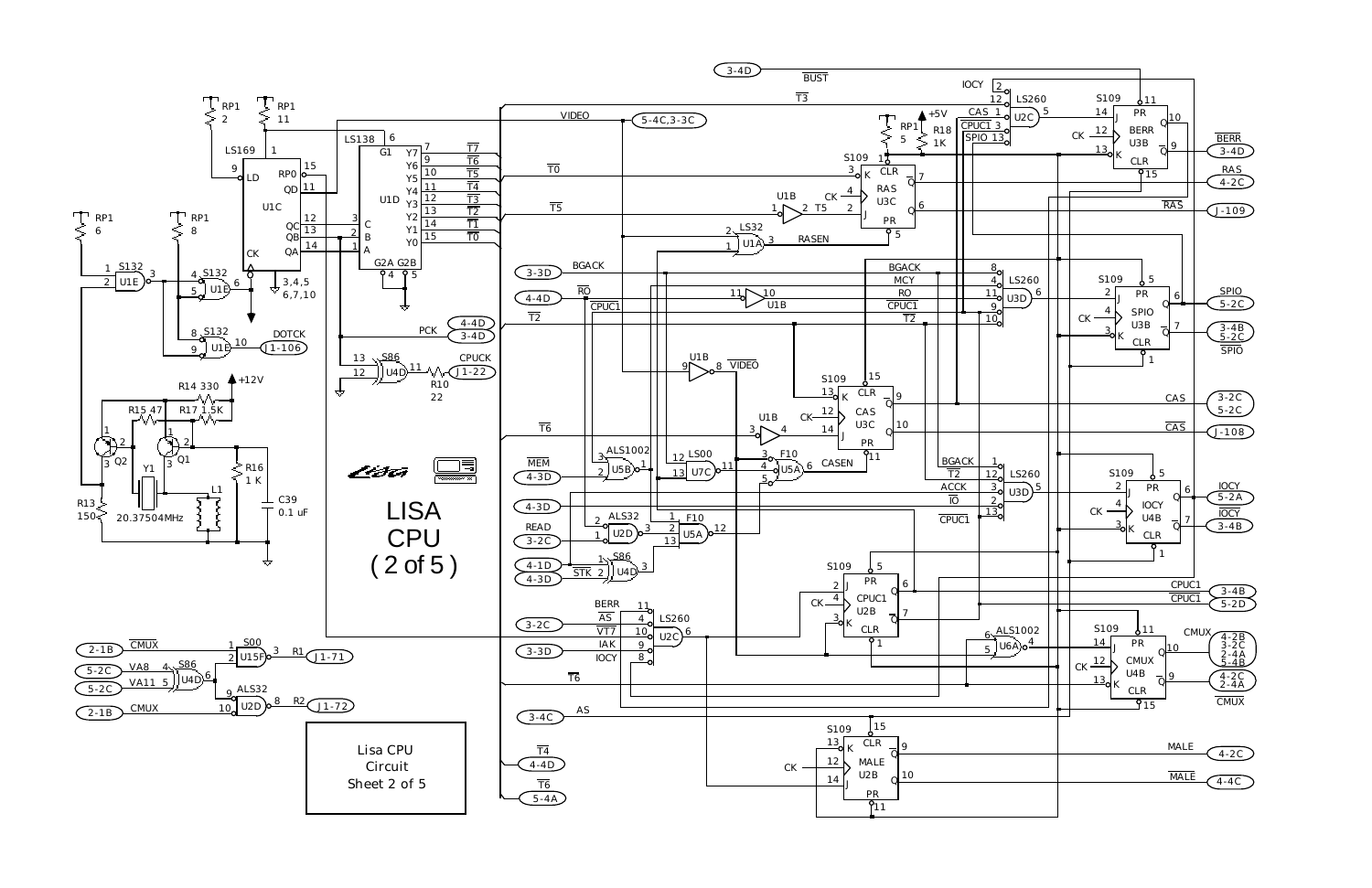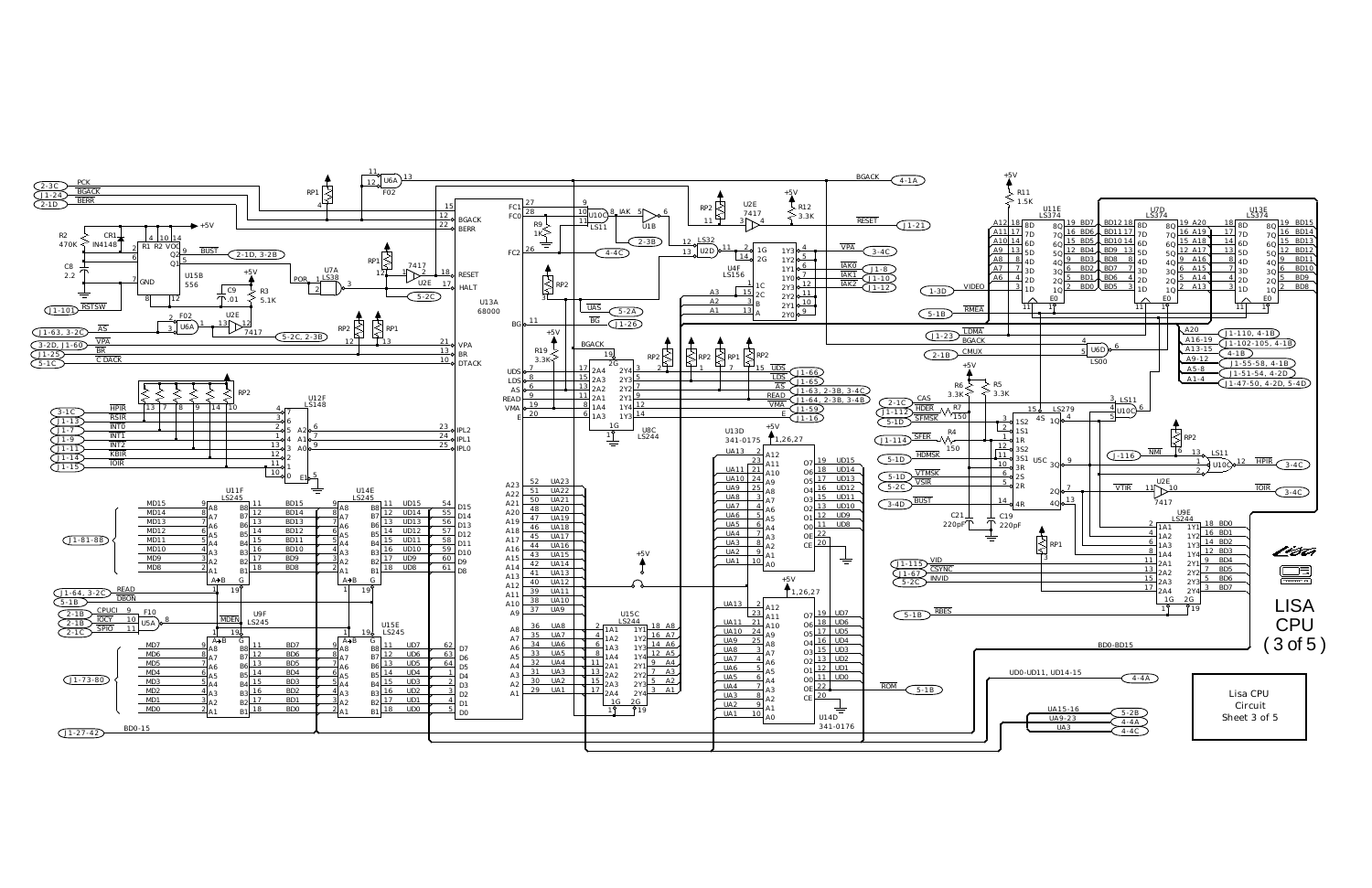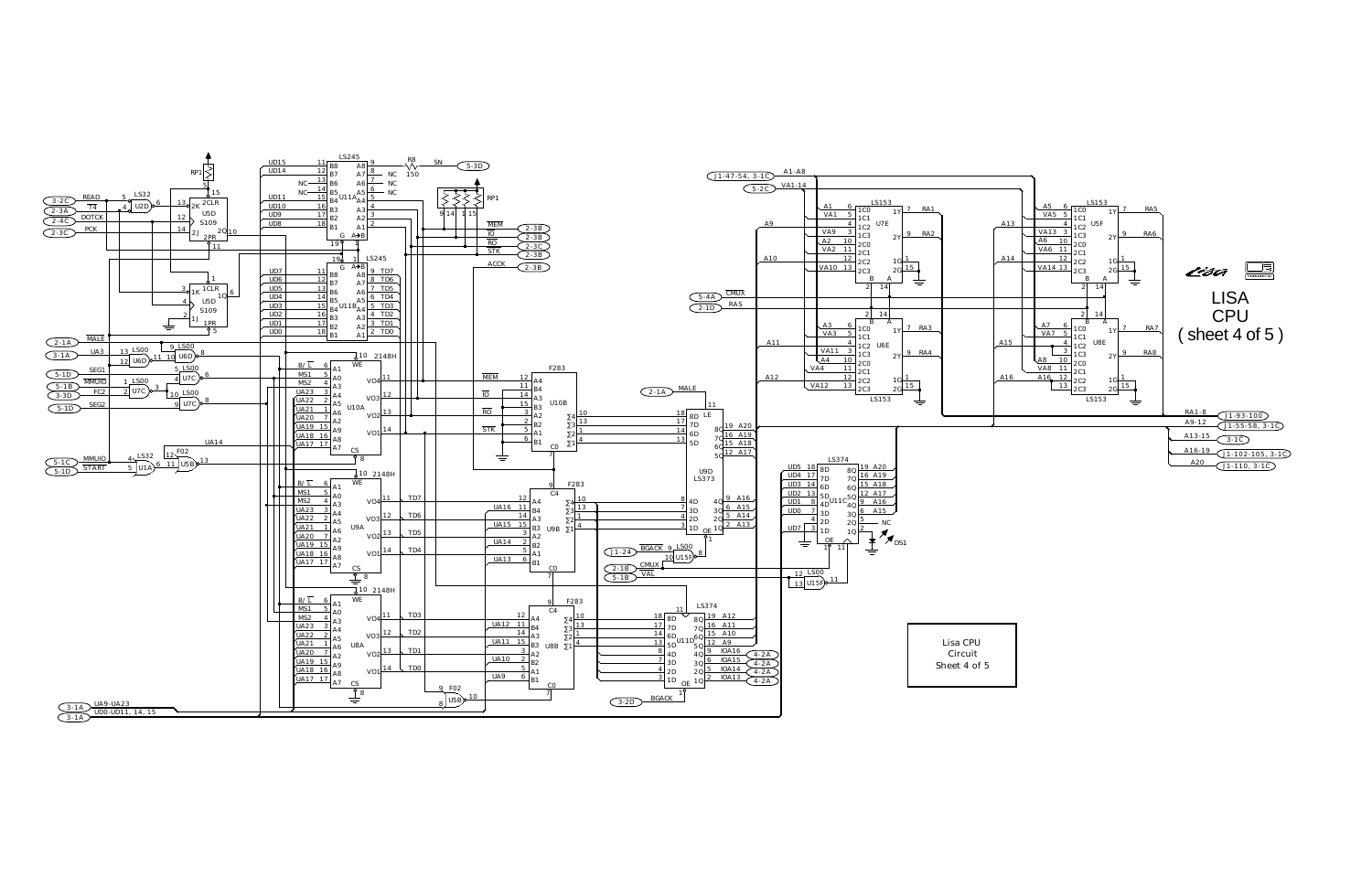